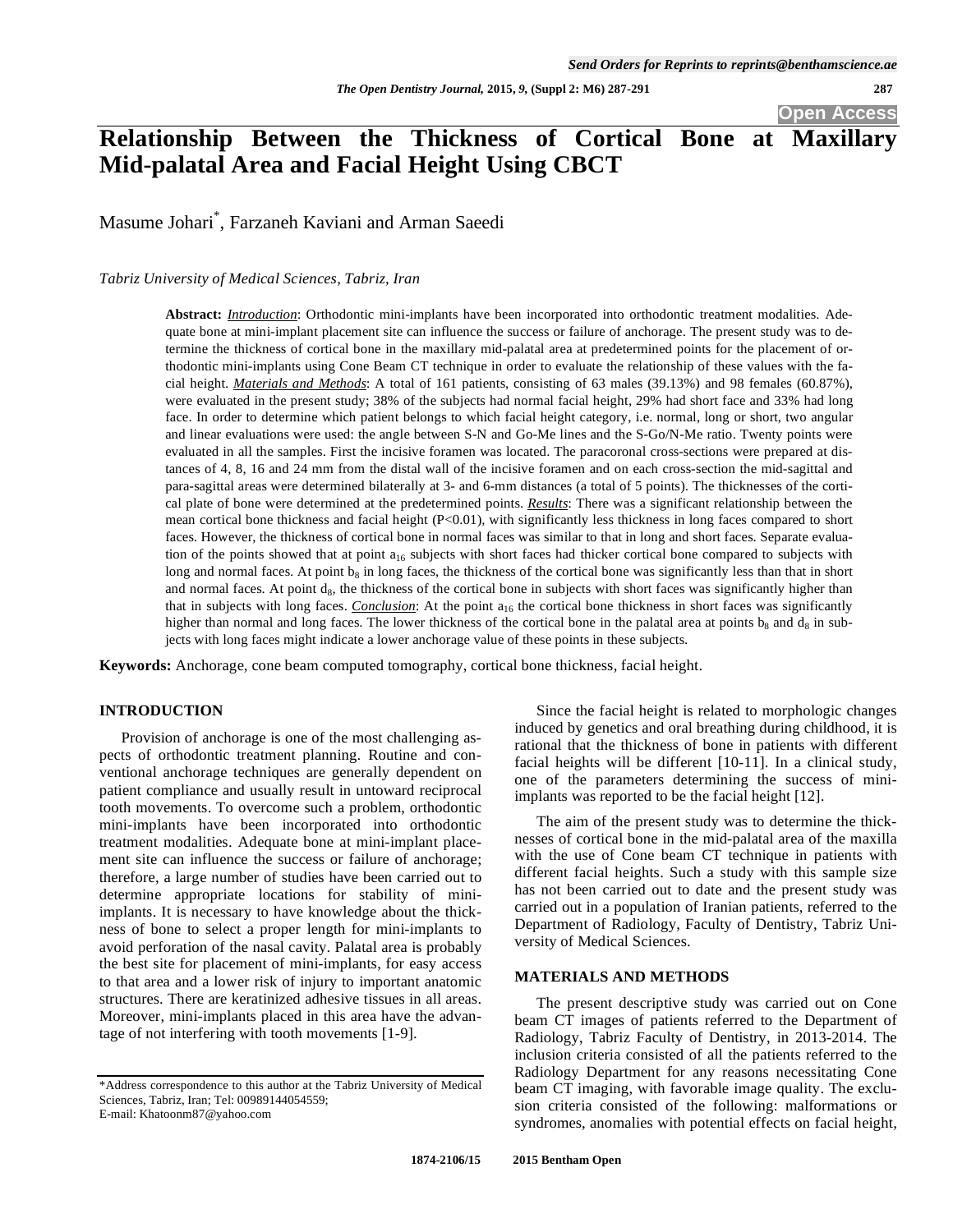*The Open Dentistry Journal,* **2015,** *9,* **(Suppl 2: M6) 287-291 287**

**Open Access** 

# **Relationship Between the Thickness of Cortical Bone at Maxillary Mid-palatal Area and Facial Height Using CBCT**

Masume Johari\* , Farzaneh Kaviani and Arman Saeedi

*Tabriz University of Medical Sciences, Tabriz, Iran* 

**Abstract:** *Introduction*: Orthodontic mini-implants have been incorporated into orthodontic treatment modalities. Adequate bone at mini-implant placement site can influence the success or failure of anchorage. The present study was to determine the thickness of cortical bone in the maxillary mid-palatal area at predetermined points for the placement of orthodontic mini-implants using Cone Beam CT technique in order to evaluate the relationship of these values with the facial height. *Materials and Methods*: A total of 161 patients, consisting of 63 males (39.13%) and 98 females (60.87%), were evaluated in the present study; 38% of the subjects had normal facial height, 29% had short face and 33% had long face. In order to determine which patient belongs to which facial height category, i.e. normal, long or short, two angular and linear evaluations were used: the angle between S-N and Go-Me lines and the S-Go/N-Me ratio. Twenty points were evaluated in all the samples. First the incisive foramen was located. The paracoronal cross-sections were prepared at distances of 4, 8, 16 and 24 mm from the distal wall of the incisive foramen and on each cross-section the mid-sagittal and para-sagittal areas were determined bilaterally at 3- and 6-mm distances (a total of 5 points). The thicknesses of the cortical plate of bone were determined at the predetermined points. *Results*: There was a significant relationship between the mean cortical bone thickness and facial height (P<0.01), with significantly less thickness in long faces compared to short faces. However, the thickness of cortical bone in normal faces was similar to that in long and short faces. Separate evaluation of the points showed that at point  $a_{16}$  subjects with short faces had thicker cortical bone compared to subjects with long and normal faces. At point b<sub>8</sub> in long faces, the thickness of the cortical bone was significantly less than that in short and normal faces. At point  $d_8$ , the thickness of the cortical bone in subjects with short faces was significantly higher than that in subjects with long faces. *Conclusion*: At the point a<sub>16</sub> the cortical bone thickness in short faces was significantly higher than normal and long faces. The lower thickness of the cortical bone in the palatal area at points  $b_8$  and  $d_8$  in subjects with long faces might indicate a lower anchorage value of these points in these subjects.

**Keywords:** Anchorage, cone beam computed tomography, cortical bone thickness, facial height.

# **INTRODUCTION**

Provision of anchorage is one of the most challenging aspects of orthodontic treatment planning. Routine and conventional anchorage techniques are generally dependent on patient compliance and usually result in untoward reciprocal tooth movements. To overcome such a problem, orthodontic mini-implants have been incorporated into orthodontic treatment modalities. Adequate bone at mini-implant placement site can influence the success or failure of anchorage; therefore, a large number of studies have been carried out to determine appropriate locations for stability of miniimplants. It is necessary to have knowledge about the thickness of bone to select a proper length for mini-implants to avoid perforation of the nasal cavity. Palatal area is probably the best site for placement of mini-implants, for easy access to that area and a lower risk of injury to important anatomic structures. There are keratinized adhesive tissues in all areas. Moreover, mini-implants placed in this area have the advantage of not interfering with tooth movements [1-9].

E-mail: Khatoonm87@yahoo.com

Since the facial height is related to morphologic changes induced by genetics and oral breathing during childhood, it is rational that the thickness of bone in patients with different facial heights will be different [10-11]. In a clinical study, one of the parameters determining the success of miniimplants was reported to be the facial height [12].

The aim of the present study was to determine the thicknesses of cortical bone in the mid-palatal area of the maxilla with the use of Cone beam CT technique in patients with different facial heights. Such a study with this sample size has not been carried out to date and the present study was carried out in a population of Iranian patients, referred to the Department of Radiology, Faculty of Dentistry, Tabriz University of Medical Sciences.

# **MATERIALS AND METHODS**

The present descriptive study was carried out on Cone beam CT images of patients referred to the Department of Radiology, Tabriz Faculty of Dentistry, in 2013-2014. The inclusion criteria consisted of all the patients referred to the Radiology Department for any reasons necessitating Cone beam CT imaging, with favorable image quality. The exclusion criteria consisted of the following: malformations or syndromes, anomalies with potential effects on facial height,

<sup>\*</sup>Address correspondence to this author at the Tabriz University of Medical Sciences, Tabriz, Iran; Tel: 00989144054559;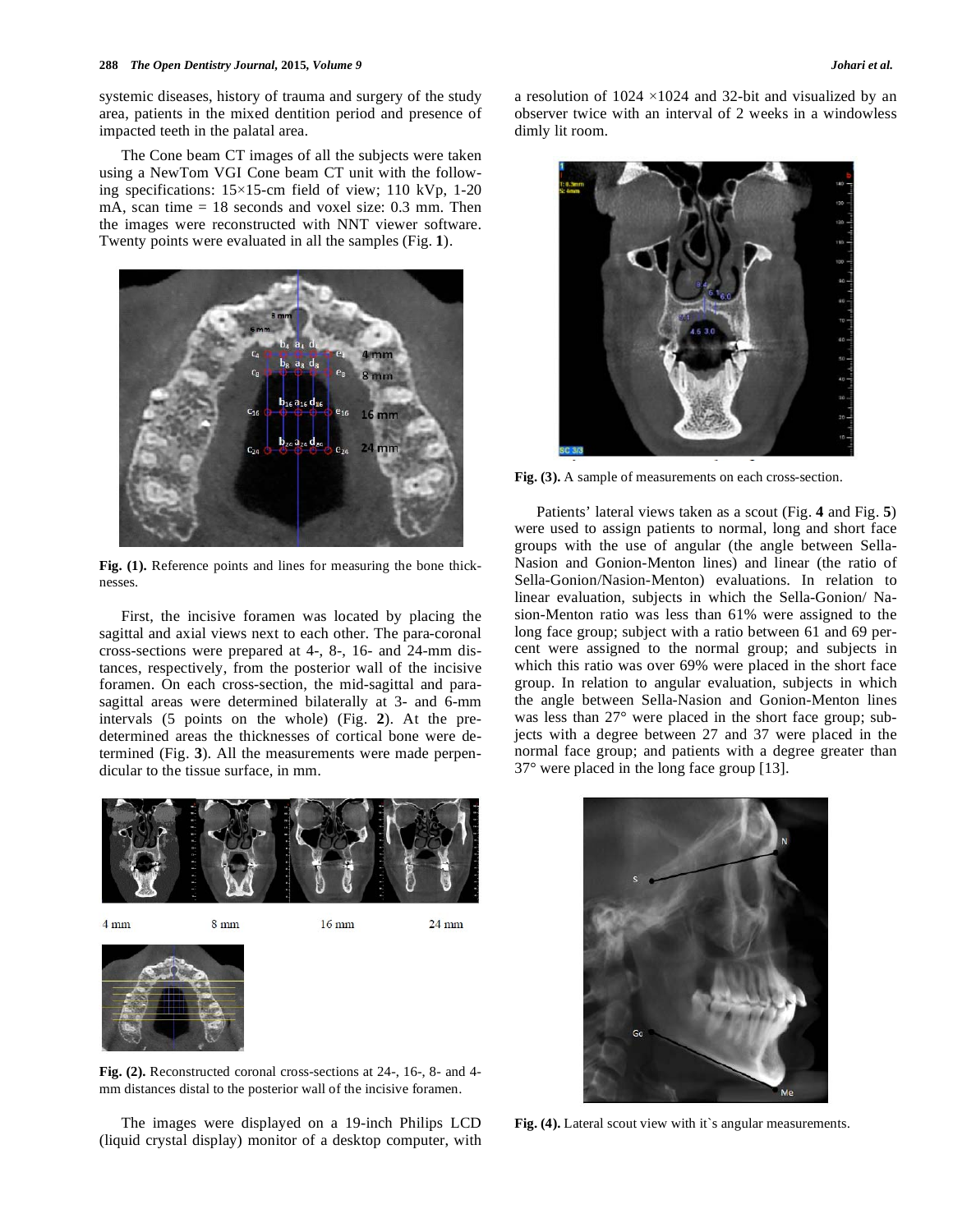#### **288** *The Open Dentistry Journal,* **2015***, Volume 9 Johari et al.*

systemic diseases, history of trauma and surgery of the study area, patients in the mixed dentition period and presence of impacted teeth in the palatal area.

The Cone beam CT images of all the subjects were taken using a NewTom VGI Cone beam CT unit with the following specifications:  $15\times15$ -cm field of view; 110 kVp, 1-20 mA, scan time  $= 18$  seconds and voxel size: 0.3 mm. Then the images were reconstructed with NNT viewer software. Twenty points were evaluated in all the samples (Fig. **1**).



**Fig. (1).** Reference points and lines for measuring the bone thicknesses.

First, the incisive foramen was located by placing the sagittal and axial views next to each other. The para-coronal cross-sections were prepared at 4-, 8-, 16- and 24-mm distances, respectively, from the posterior wall of the incisive foramen. On each cross-section, the mid-sagittal and parasagittal areas were determined bilaterally at 3- and 6-mm intervals (5 points on the whole) (Fig. **2**). At the predetermined areas the thicknesses of cortical bone were determined (Fig. **3**). All the measurements were made perpendicular to the tissue surface, in mm.

 $4 \text{ mm}$ 8 mm  $16 \text{ mm}$  $24 \text{ mm}$ 

**Fig. (2).** Reconstructed coronal cross-sections at 24-, 16-, 8- and 4 mm distances distal to the posterior wall of the incisive foramen.

The images were displayed on a 19-inch Philips LCD (liquid crystal display) monitor of a desktop computer, with a resolution of  $1024 \times 1024$  and 32-bit and visualized by an observer twice with an interval of 2 weeks in a windowless dimly lit room.



**Fig. (3).** A sample of measurements on each cross-section.

Patients' lateral views taken as a scout (Fig. **4** and Fig. **5**) were used to assign patients to normal, long and short face groups with the use of angular (the angle between Sella-Nasion and Gonion-Menton lines) and linear (the ratio of Sella-Gonion/Nasion-Menton) evaluations. In relation to linear evaluation, subjects in which the Sella-Gonion/ Nasion-Menton ratio was less than 61% were assigned to the long face group; subject with a ratio between 61 and 69 percent were assigned to the normal group; and subjects in which this ratio was over 69% were placed in the short face group. In relation to angular evaluation, subjects in which the angle between Sella-Nasion and Gonion-Menton lines was less than 27° were placed in the short face group; subjects with a degree between 27 and 37 were placed in the normal face group; and patients with a degree greater than 37° were placed in the long face group [13].



Fig. (4). Lateral scout view with it's angular measurements.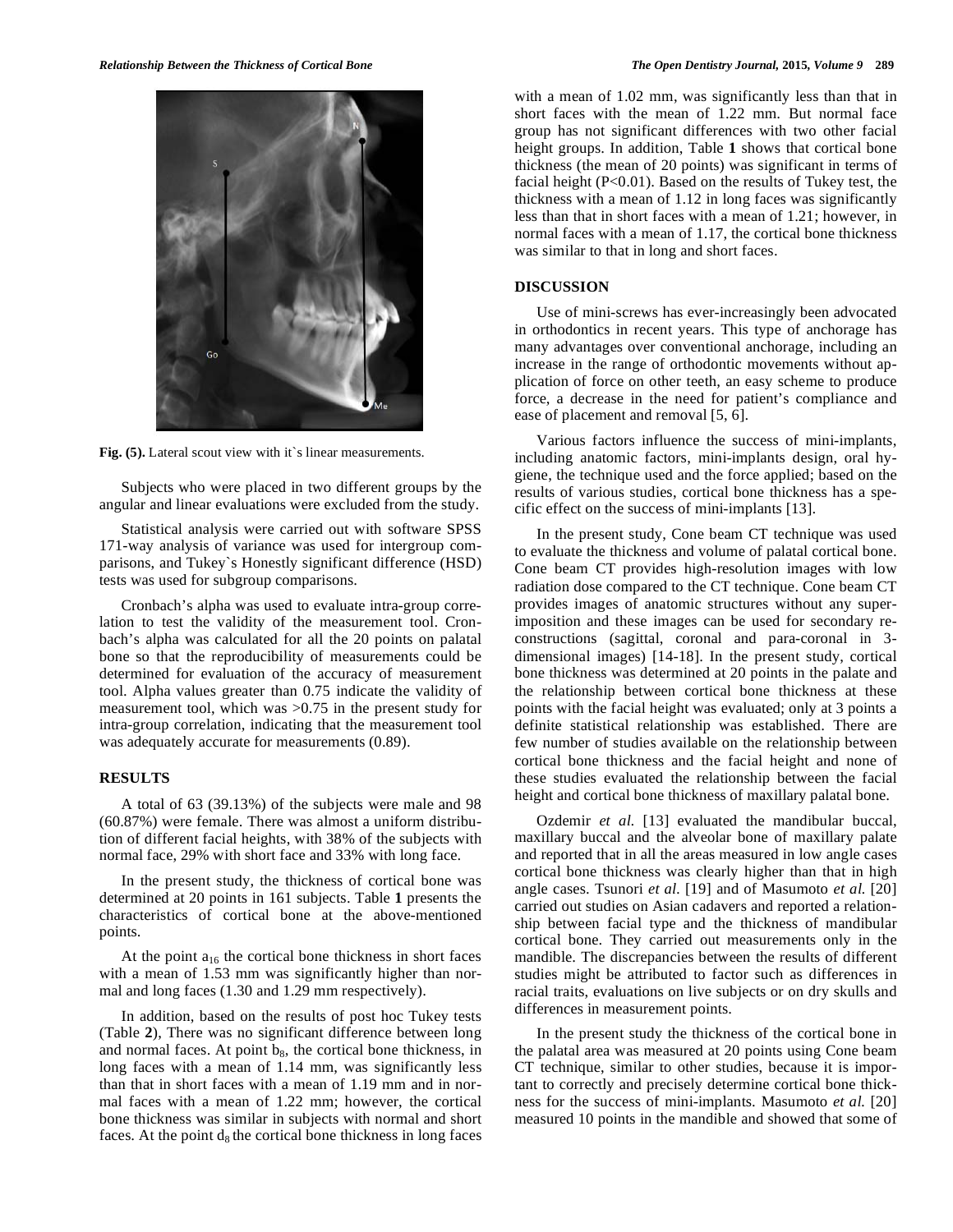

**Fig. (5).** Lateral scout view with it`s linear measurements.

Subjects who were placed in two different groups by the angular and linear evaluations were excluded from the study.

Statistical analysis were carried out with software SPSS 171-way analysis of variance was used for intergroup comparisons, and Tukey`s Honestly significant difference (HSD) tests was used for subgroup comparisons.

Cronbach's alpha was used to evaluate intra-group correlation to test the validity of the measurement tool. Cronbach's alpha was calculated for all the 20 points on palatal bone so that the reproducibility of measurements could be determined for evaluation of the accuracy of measurement tool. Alpha values greater than 0.75 indicate the validity of measurement tool, which was >0.75 in the present study for intra-group correlation, indicating that the measurement tool was adequately accurate for measurements (0.89).

### **RESULTS**

A total of 63 (39.13%) of the subjects were male and 98 (60.87%) were female. There was almost a uniform distribution of different facial heights, with 38% of the subjects with normal face, 29% with short face and 33% with long face.

In the present study, the thickness of cortical bone was determined at 20 points in 161 subjects. Table **1** presents the characteristics of cortical bone at the above-mentioned points.

At the point  $a_{16}$  the cortical bone thickness in short faces with a mean of 1.53 mm was significantly higher than normal and long faces (1.30 and 1.29 mm respectively).

In addition, based on the results of post hoc Tukey tests (Table **2**), There was no significant difference between long and normal faces. At point  $b_8$ , the cortical bone thickness, in long faces with a mean of 1.14 mm, was significantly less than that in short faces with a mean of 1.19 mm and in normal faces with a mean of 1.22 mm; however, the cortical bone thickness was similar in subjects with normal and short faces. At the point  $d_8$  the cortical bone thickness in long faces with a mean of 1.02 mm, was significantly less than that in short faces with the mean of 1.22 mm. But normal face group has not significant differences with two other facial height groups. In addition, Table **1** shows that cortical bone thickness (the mean of 20 points) was significant in terms of facial height  $(P<0.01)$ . Based on the results of Tukey test, the thickness with a mean of 1.12 in long faces was significantly less than that in short faces with a mean of 1.21; however, in normal faces with a mean of 1.17, the cortical bone thickness was similar to that in long and short faces.

#### **DISCUSSION**

Use of mini-screws has ever-increasingly been advocated in orthodontics in recent years. This type of anchorage has many advantages over conventional anchorage, including an increase in the range of orthodontic movements without application of force on other teeth, an easy scheme to produce force, a decrease in the need for patient's compliance and ease of placement and removal [5, 6].

Various factors influence the success of mini-implants, including anatomic factors, mini-implants design, oral hygiene, the technique used and the force applied; based on the results of various studies, cortical bone thickness has a specific effect on the success of mini-implants [13].

In the present study, Cone beam CT technique was used to evaluate the thickness and volume of palatal cortical bone. Cone beam CT provides high-resolution images with low radiation dose compared to the CT technique. Cone beam CT provides images of anatomic structures without any superimposition and these images can be used for secondary reconstructions (sagittal, coronal and para-coronal in 3 dimensional images) [14-18]. In the present study, cortical bone thickness was determined at 20 points in the palate and the relationship between cortical bone thickness at these points with the facial height was evaluated; only at 3 points a definite statistical relationship was established. There are few number of studies available on the relationship between cortical bone thickness and the facial height and none of these studies evaluated the relationship between the facial height and cortical bone thickness of maxillary palatal bone.

Ozdemir *et al.* [13] evaluated the mandibular buccal, maxillary buccal and the alveolar bone of maxillary palate and reported that in all the areas measured in low angle cases cortical bone thickness was clearly higher than that in high angle cases. Tsunori *et al.* [19] and of Masumoto *et al.* [20] carried out studies on Asian cadavers and reported a relationship between facial type and the thickness of mandibular cortical bone. They carried out measurements only in the mandible. The discrepancies between the results of different studies might be attributed to factor such as differences in racial traits, evaluations on live subjects or on dry skulls and differences in measurement points.

In the present study the thickness of the cortical bone in the palatal area was measured at 20 points using Cone beam CT technique, similar to other studies, because it is important to correctly and precisely determine cortical bone thickness for the success of mini-implants. Masumoto *et al.* [20] measured 10 points in the mandible and showed that some of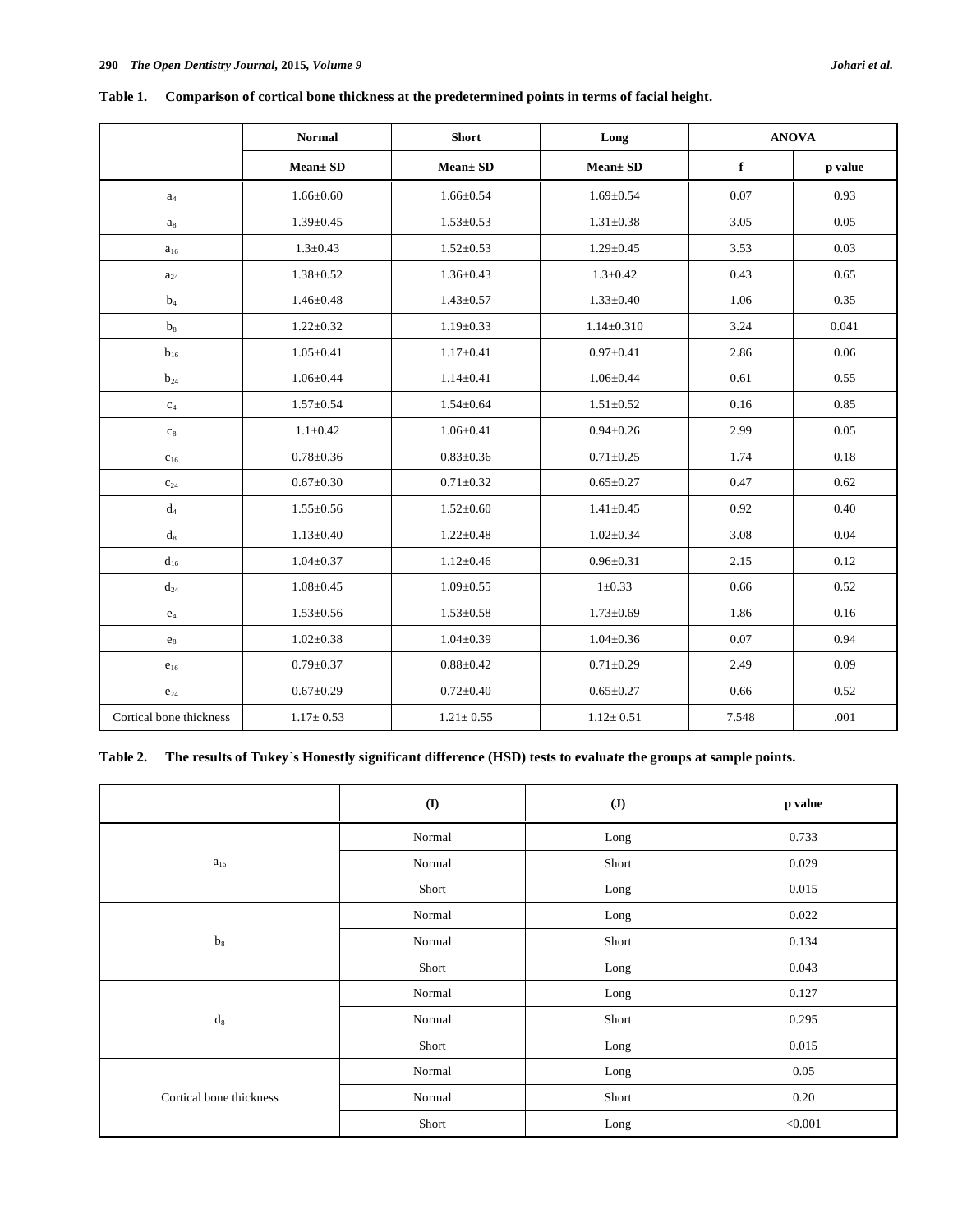|                         | <b>Normal</b>   | <b>Short</b>    | Long             | <b>ANOVA</b> |         |
|-------------------------|-----------------|-----------------|------------------|--------------|---------|
|                         | Mean± SD        | Mean± SD        | Mean± SD         | $\mathbf f$  | p value |
| $a_4$                   | $1.66 \pm 0.60$ | $1.66 \pm 0.54$ | $1.69 \pm 0.54$  | 0.07         | 0.93    |
| $a_8$                   | $1.39 \pm 0.45$ | $1.53 \pm 0.53$ | $1.31 \pm 0.38$  | 3.05         | 0.05    |
| $a_{16}$                | $1.3 \pm 0.43$  | $1.52 \pm 0.53$ | $1.29 \pm 0.45$  | 3.53         | 0.03    |
| $\mathbf{a}_{24}$       | $1.38 \pm 0.52$ | $1.36 \pm 0.43$ | $1.3 \pm 0.42$   | 0.43         | 0.65    |
| b <sub>4</sub>          | $1.46 \pm 0.48$ | $1.43 \pm 0.57$ | $1.33 \pm 0.40$  | 1.06         | 0.35    |
| $b_8$                   | $1.22 \pm 0.32$ | $1.19 \pm 0.33$ | $1.14 \pm 0.310$ | 3.24         | 0.041   |
| $b_{16}$                | $1.05 \pm 0.41$ | $1.17 \pm 0.41$ | $0.97 + 0.41$    | 2.86         | 0.06    |
| $b_{24}$                | $1.06 \pm 0.44$ | $1.14 \pm 0.41$ | $1.06 \pm 0.44$  | 0.61         | 0.55    |
| $\rm{c}_4$              | $1.57 \pm 0.54$ | $1.54 \pm 0.64$ | $1.51 \pm 0.52$  | 0.16         | 0.85    |
| $\mathrm{c}_8$          | $1.1 \pm 0.42$  | $1.06 \pm 0.41$ | $0.94 \pm 0.26$  | 2.99         | 0.05    |
| $C_{16}$                | $0.78 + 0.36$   | $0.83 \pm 0.36$ | $0.71 \pm 0.25$  | 1.74         | 0.18    |
| $\mathrm{C}_{24}$       | $0.67 \pm 0.30$ | $0.71 \pm 0.32$ | $0.65 \pm 0.27$  | 0.47         | 0.62    |
| $d_4$                   | $1.55 \pm 0.56$ | $1.52 \pm 0.60$ | $1.41 \pm 0.45$  | 0.92         | 0.40    |
| $d_8$                   | $1.13 \pm 0.40$ | $1.22 \pm 0.48$ | $1.02 \pm 0.34$  | 3.08         | 0.04    |
| $d_{16}$                | $1.04 \pm 0.37$ | $1.12 \pm 0.46$ | $0.96 \pm 0.31$  | 2.15         | 0.12    |
| $d_{24}$                | $1.08 \pm 0.45$ | $1.09 \pm 0.55$ | $1 \pm 0.33$     | 0.66         | 0.52    |
| $\mathbf{e}_4$          | $1.53 \pm 0.56$ | $1.53 \pm 0.58$ | $1.73 \pm 0.69$  | 1.86         | 0.16    |
| $\mathbf{e}_8$          | $1.02 \pm 0.38$ | $1.04 \pm 0.39$ | $1.04 \pm 0.36$  | 0.07         | 0.94    |
| $e_{16}$                | $0.79 \pm 0.37$ | $0.88 \pm 0.42$ | $0.71 \pm 0.29$  | 2.49         | 0.09    |
| $e_{24}$                | $0.67 \pm 0.29$ | $0.72 \pm 0.40$ | $0.65 \pm 0.27$  | 0.66         | 0.52    |
| Cortical bone thickness | $1.17 \pm 0.53$ | $1.21 \pm 0.55$ | $1.12 \pm 0.51$  | 7.548        | .001    |

**Table 1. Comparison of cortical bone thickness at the predetermined points in terms of facial height.** 

# **Table 2. The results of Tukey`s Honestly significant difference (HSD) tests to evaluate the groups at sample points.**

|                         | $\bf{(I)}$ | $(\mathbf{J})$ | p value |
|-------------------------|------------|----------------|---------|
|                         | Normal     | Long           | 0.733   |
| $a_{16}$                | Normal     | Short          | 0.029   |
|                         | Short      | Long           | 0.015   |
|                         | Normal     | Long           | 0.022   |
| $b_8$                   | Normal     | Short          | 0.134   |
|                         | Short      | Long           | 0.043   |
|                         | Normal     | Long           | 0.127   |
| $d_8$                   | Normal     | Short          | 0.295   |
|                         | Short      | Long           | 0.015   |
|                         | Normal     | Long           | 0.05    |
| Cortical bone thickness | Normal     | Short          | 0.20    |
|                         | Short      | Long           | < 0.001 |